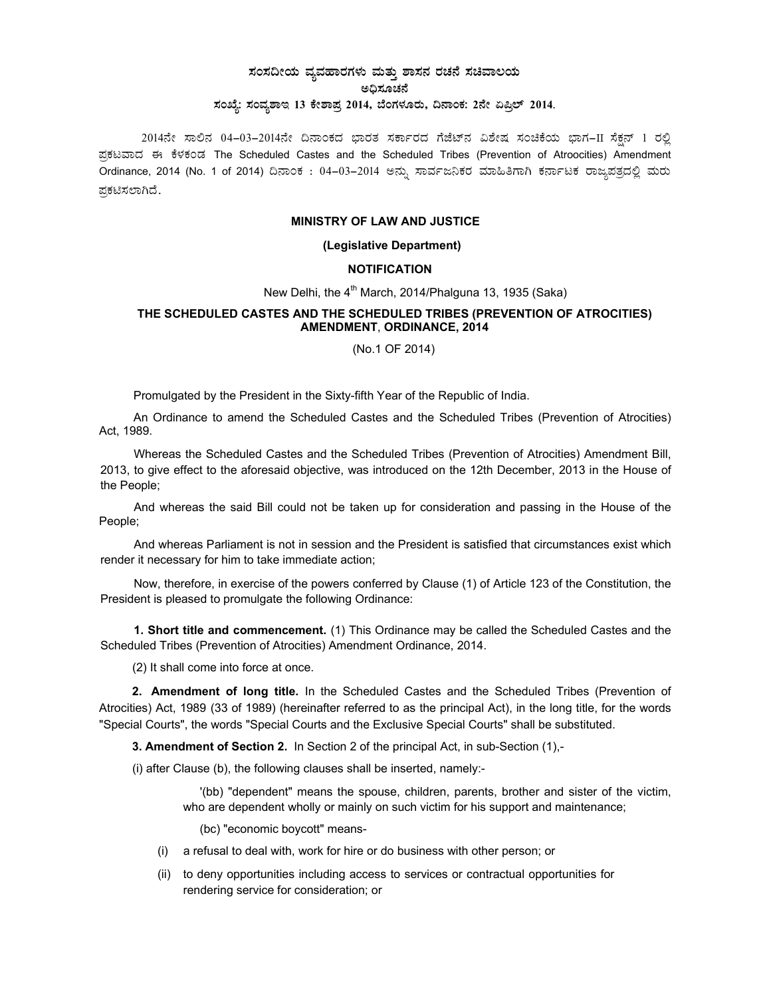# ಸಂಸದೀಯ ವ್ಯವಹಾರಗಳು ಮತ್ತು ಶಾಸನ ರಚನೆ ಸಚಿವಾಲಯ ಅದಿಸೂಚನೆ ಸಂಖ್ಯೆ: ಸಂವ್ಯಶಾಇ 13 ಕೇಶಾಪ್ತ 2014, ಬೆಂಗಳೂರು, ದಿನಾಂಕ: 2ನೇ ಏಪಿಲ್ 2014.

2014ನೇ ಸಾಲಿನ 04-03-2014ನೇ ದಿನಾಂಕದ ಭಾರತ ಸರ್ಕಾರದ ಗೆಜೆಟ್ ಮಶೇಷ ಸಂಚಿಕೆಯ ಭಾಗ-II ಸೆಕ್ಷನ್ 1 ರಲ್ಲಿ ಪ್ರಕಟವಾದ ಈ ಕೆಳಕಂಡ The Scheduled Castes and the Scheduled Tribes (Prevention of Atroocities) Amendment Ordinance, 2014 (No. 1 of 2014) ದಿನಾಂಕ : 04–03–2014 ಅನ್ನು ಸಾರ್ವಜನಿಕರ ಮಾಹಿತಿಗಾಗಿ ಕರ್ನಾಟಕ ರಾಜ್ನಪತ್ರದಲ್ಲಿ ಮರು ಪ್ರಕಟಿಸಲಾಗಿದೆ.

# **MINISTRY OF LAW AND JUSTICE**

#### (Legislative Department)

#### **NOTIFICATION**

New Delhi, the 4<sup>th</sup> March, 2014/Phalguna 13, 1935 (Saka)

### THE SCHEDULED CASTES AND THE SCHEDULED TRIBES (PREVENTION OF ATROCITIES) **AMENDMENT, ORDINANCE, 2014**

(No.1 OF 2014)

Promulgated by the President in the Sixty-fifth Year of the Republic of India.

An Ordinance to amend the Scheduled Castes and the Scheduled Tribes (Prevention of Atrocities) Act, 1989.

Whereas the Scheduled Castes and the Scheduled Tribes (Prevention of Atrocities) Amendment Bill, 2013, to give effect to the aforesaid objective, was introduced on the 12th December, 2013 in the House of the People:

And whereas the said Bill could not be taken up for consideration and passing in the House of the People;

And whereas Parliament is not in session and the President is satisfied that circumstances exist which render it necessary for him to take immediate action;

Now, therefore, in exercise of the powers conferred by Clause (1) of Article 123 of the Constitution, the President is pleased to promulgate the following Ordinance:

1. Short title and commencement. (1) This Ordinance may be called the Scheduled Castes and the Scheduled Tribes (Prevention of Atrocities) Amendment Ordinance, 2014.

(2) It shall come into force at once.

2. Amendment of long title. In the Scheduled Castes and the Scheduled Tribes (Prevention of Atrocities) Act, 1989 (33 of 1989) (hereinafter referred to as the principal Act), in the long title, for the words "Special Courts", the words "Special Courts and the Exclusive Special Courts" shall be substituted.

3. Amendment of Section 2. In Section 2 of the principal Act, in sub-Section (1),-

(i) after Clause (b), the following clauses shall be inserted, namely:-

'(bb) "dependent" means the spouse, children, parents, brother and sister of the victim, who are dependent wholly or mainly on such victim for his support and maintenance;

(bc) "economic boycott" means-

- (i) a refusal to deal with, work for hire or do business with other person; or
- (ii) to deny opportunities including access to services or contractual opportunities for rendering service for consideration; or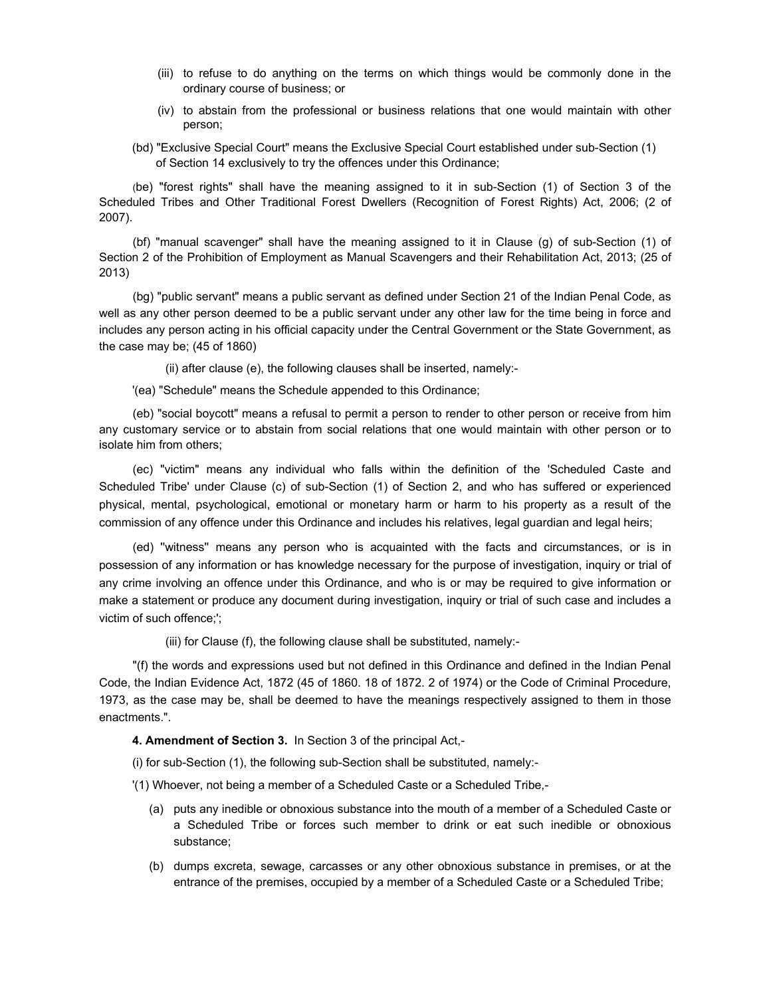- (iii) to refuse to do anything on the terms on which things would be commonly done in the ordinary course of business; or
- (iv) to abstain from the professional or business relations that one would maintain with other person;
- (bd) "Exclusive Special Court" means the Exclusive Special Court established under sub-Section (1) of Section 14 exclusively to try the offences under this Ordinance;

(be) "forest rights" shall have the meaning assigned to it in sub-Section (1) of Section 3 of the Scheduled Tribes and Other Traditional Forest Dwellers (Recognition of Forest Rights) Act, 2006; (2 of 2007).

(bf) "manual scavenger" shall have the meaning assigned to it in Clause (g) of sub-Section (1) of Section 2 of the Prohibition of Employment as Manual Scavengers and their Rehabilitation Act, 2013; (25 of 2013)

(bg) "public servant" means a public servant as defined under Section 21 of the Indian Penal Code, as well as any other person deemed to be a public servant under any other law for the time being in force and includes any person acting in his official capacity under the Central Government or the State Government, as the case may be; (45 of 1860)

(ii) after clause (e), the following clauses shall be inserted, namely:-

'(ea) "Schedule" means the Schedule appended to this Ordinance;

(eb) "social boycott" means a refusal to permit a person to render to other person or receive from him any customary service or to abstain from social relations that one would maintain with other person or to isolate him from others;

(ec) "victim" means any individual who falls within the definition of the 'Scheduled Caste and Scheduled Tribe' under Clause (c) of sub-Section (1) of Section 2, and who has suffered or experienced physical, mental, psychological, emotional or monetary harm or harm to his property as a result of the commission of any offence under this Ordinance and includes his relatives, legal guardian and legal heirs;

(ed) ''witness'' means any person who is acquainted with the facts and circumstances, or is in possession of any information or has knowledge necessary for the purpose of investigation, inquiry or trial of any crime involving an offence under this Ordinance, and who is or may be required to give information or make a statement or produce any document during investigation, inquiry or trial of such case and includes a victim of such offence;';

(iii) for Clause (f), the following clause shall be substituted, namely:-

"(f) the words and expressions used but not defined in this Ordinance and defined in the Indian Penal Code, the Indian Evidence Act, 1872 (45 of 1860. 18 of 1872. 2 of 1974) or the Code of Criminal Procedure, 1973, as the case may be, shall be deemed to have the meanings respectively assigned to them in those enactments.".

**4. Amendment of Section 3.** In Section 3 of the principal Act,-

(i) for sub-Section (1), the following sub-Section shall be substituted, namely:-

'(1) Whoever, not being a member of a Scheduled Caste or a Scheduled Tribe,-

- (a) puts any inedible or obnoxious substance into the mouth of a member of a Scheduled Caste or a Scheduled Tribe or forces such member to drink or eat such inedible or obnoxious substance;
- (b) dumps excreta, sewage, carcasses or any other obnoxious substance in premises, or at the entrance of the premises, occupied by a member of a Scheduled Caste or a Scheduled Tribe;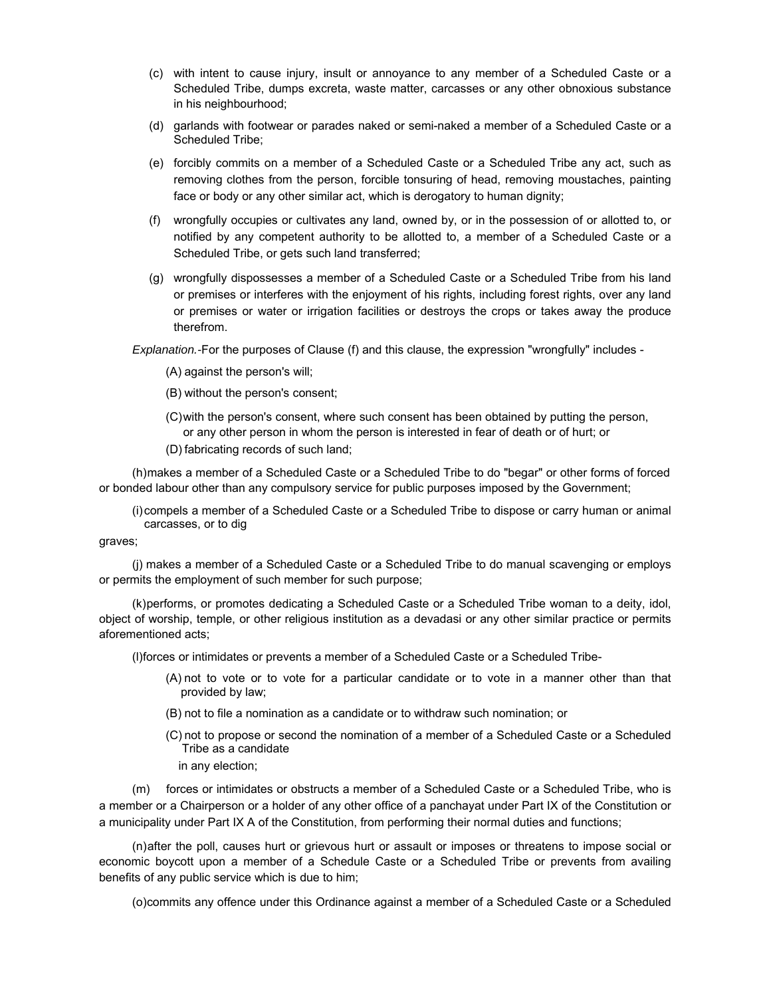- (c) with intent to cause injury, insult or annoyance to any member of a Scheduled Caste or a Scheduled Tribe, dumps excreta, waste matter, carcasses or any other obnoxious substance in his neighbourhood;
- (d) garlands with footwear or parades naked or semi-naked a member of a Scheduled Caste or a Scheduled Tribe;
- (e) forcibly commits on a member of a Scheduled Caste or a Scheduled Tribe any act, such as removing clothes from the person, forcible tonsuring of head, removing moustaches, painting face or body or any other similar act, which is derogatory to human dignity;
- (f) wrongfully occupies or cultivates any land, owned by, or in the possession of or allotted to, or notified by any competent authority to be allotted to, a member of a Scheduled Caste or a Scheduled Tribe, or gets such land transferred;
- (g) wrongfully dispossesses a member of a Scheduled Caste or a Scheduled Tribe from his land or premises or interferes with the enjoyment of his rights, including forest rights, over any land or premises or water or irrigation facilities or destroys the crops or takes away the produce therefrom.

*Explanation.-*For the purposes of Clause (f) and this clause, the expression "wrongfully" includes -

- (A) against the person's will;
- (B) without the person's consent;
- (C) with the person's consent, where such consent has been obtained by putting the person, or any other person in whom the person is interested in fear of death or of hurt; or
- (D) fabricating records of such land;

(h) makes a member of a Scheduled Caste or a Scheduled Tribe to do "begar" or other forms of forced or bonded labour other than any compulsory service for public purposes imposed by the Government;

(i) compels a member of a Scheduled Caste or a Scheduled Tribe to dispose or carry human or animal carcasses, or to dig

graves;

(j) makes a member of a Scheduled Caste or a Scheduled Tribe to do manual scavenging or employs or permits the employment of such member for such purpose;

(k) performs, or promotes dedicating a Scheduled Caste or a Scheduled Tribe woman to a deity, idol, object of worship, temple, or other religious institution as a devadasi or any other similar practice or permits aforementioned acts;

(l) forces or intimidates or prevents a member of a Scheduled Caste or a Scheduled Tribe-

- (A) not to vote or to vote for a particular candidate or to vote in a manner other than that provided by law;
- (B) not to file a nomination as a candidate or to withdraw such nomination; or
- (C) not to propose or second the nomination of a member of a Scheduled Caste or a Scheduled Tribe as a candidate
- in any election;

(m) forces or intimidates or obstructs a member of a Scheduled Caste or a Scheduled Tribe, who is a member or a Chairperson or a holder of any other office of a panchayat under Part IX of the Constitution or a municipality under Part IX A of the Constitution, from performing their normal duties and functions;

(n) after the poll, causes hurt or grievous hurt or assault or imposes or threatens to impose social or economic boycott upon a member of a Schedule Caste or a Scheduled Tribe or prevents from availing benefits of any public service which is due to him;

(o) commits any offence under this Ordinance against a member of a Scheduled Caste or a Scheduled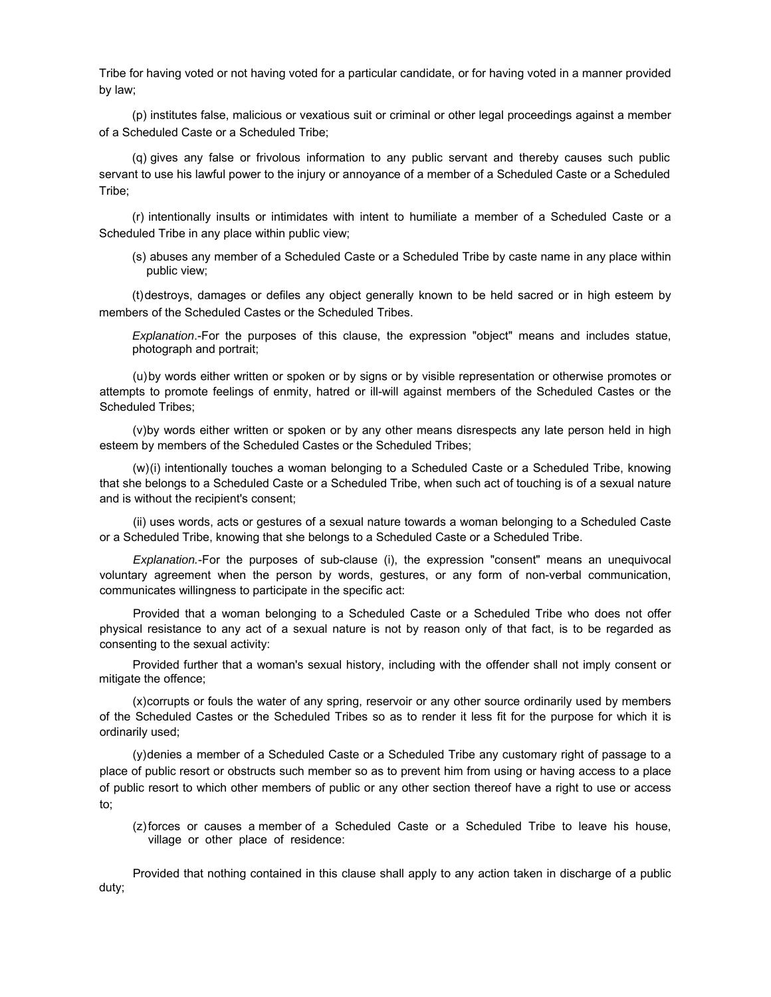Tribe for having voted or not having voted for a particular candidate, or for having voted in a manner provided by law;

(p) institutes false, malicious or vexatious suit or criminal or other legal proceedings against a member of a Scheduled Caste or a Scheduled Tribe;

(q)gives any false or frivolous information to any public servant and thereby causes such public servant to use his lawful power to the injury or annoyance of a member of a Scheduled Caste or a Scheduled Tribe;

(r) intentionally insults or intimidates with intent to humiliate a member of a Scheduled Caste or a Scheduled Tribe in any place within public view;

(s) abuses any member of a Scheduled Caste or a Scheduled Tribe by caste name in any place within public view;

(t) destroys, damages or defiles any object generally known to be held sacred or in high esteem by members of the Scheduled Castes or the Scheduled Tribes.

*Explanation*.-For the purposes of this clause, the expression "object" means and includes statue, photograph and portrait;

(u) by words either written or spoken or by signs or by visible representation or otherwise promotes or attempts to promote feelings of enmity, hatred or ill-will against members of the Scheduled Castes or the Scheduled Tribes;

(v) by words either written or spoken or by any other means disrespects any late person held in high esteem by members of the Scheduled Castes or the Scheduled Tribes;

(w) (i) intentionally touches a woman belonging to a Scheduled Caste or a Scheduled Tribe, knowing that she belongs to a Scheduled Caste or a Scheduled Tribe, when such act of touching is of a sexual nature and is without the recipient's consent;

(ii) uses words, acts or gestures of a sexual nature towards a woman belonging to a Scheduled Caste or a Scheduled Tribe, knowing that she belongs to a Scheduled Caste or a Scheduled Tribe.

*Explanation.*-For the purposes of sub-clause (i), the expression "consent" means an unequivocal voluntary agreement when the person by words, gestures, or any form of non-verbal communication, communicates willingness to participate in the specific act:

Provided that a woman belonging to a Scheduled Caste or a Scheduled Tribe who does not offer physical resistance to any act of a sexual nature is not by reason only of that fact, is to be regarded as consenting to the sexual activity:

Provided further that a woman's sexual history, including with the offender shall not imply consent or mitigate the offence;

(x) corrupts or fouls the water of any spring, reservoir or any other source ordinarily used by members of the Scheduled Castes or the Scheduled Tribes so as to render it less fit for the purpose for which it is ordinarily used;

(y) denies a member of a Scheduled Caste or a Scheduled Tribe any customary right of passage to a place of public resort or obstructs such member so as to prevent him from using or having access to a place of public resort to which other members of public or any other section thereof have a right to use or access to;

(z) forces or causes a member of a Scheduled Caste or a Scheduled Tribe to leave his house, village or other place of residence:

Provided that nothing contained in this clause shall apply to any action taken in discharge of a public duty;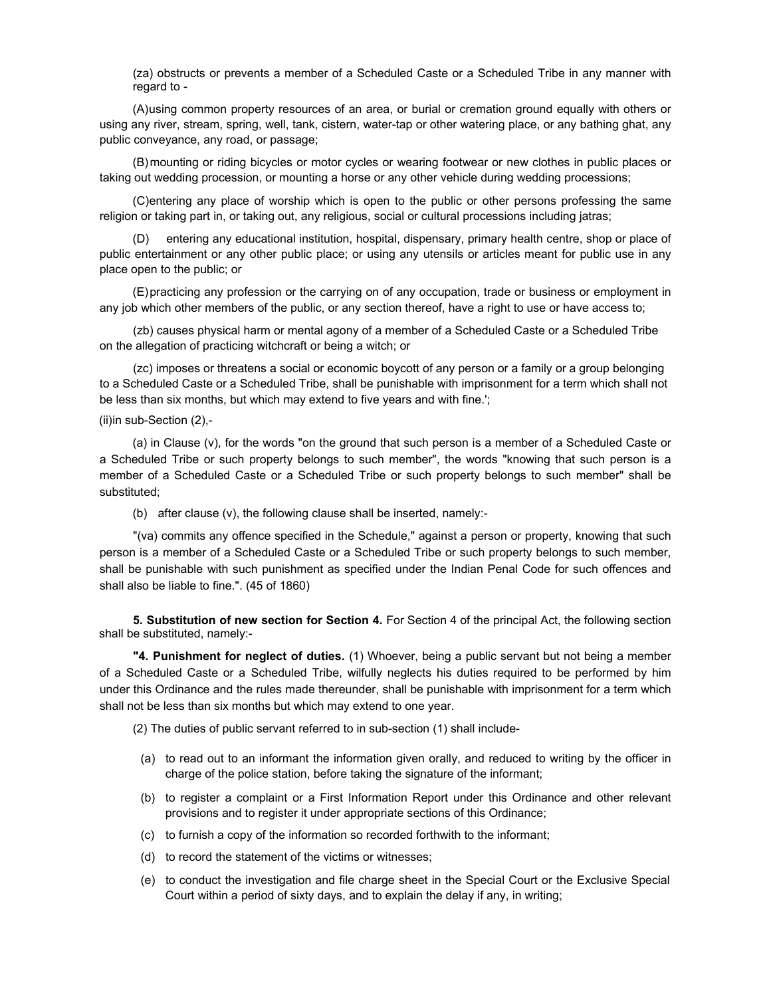(za) obstructs or prevents a member of a Scheduled Caste or a Scheduled Tribe in any manner with regard to -

(A) using common property resources of an area, or burial or cremation ground equally with others or using any river, stream, spring, well, tank, cistern, water-tap or other watering place, or any bathing ghat, any public conveyance, any road, or passage;

(B) mounting or riding bicycles or motor cycles or wearing footwear or new clothes in public places or taking out wedding procession, or mounting a horse or any other vehicle during wedding processions;

(C) entering any place of worship which is open to the public or other persons professing the same religion or taking part in, or taking out, any religious, social or cultural processions including jatras;

(D) entering any educational institution, hospital, dispensary, primary health centre, shop or place of public entertainment or any other public place; or using any utensils or articles meant for public use in any place open to the public; or

(E) practicing any profession or the carrying on of any occupation, trade or business or employment in any job which other members of the public, or any section thereof, have a right to use or have access to;

(zb) causes physical harm or mental agony of a member of a Scheduled Caste or a Scheduled Tribe on the allegation of practicing witchcraft or being a witch; or

(zc) imposes or threatens a social or economic boycott of any person or a family or a group belonging to a Scheduled Caste or a Scheduled Tribe, shall be punishable with imprisonment for a term which shall not be less than six months, but which may extend to five years and with fine.';

(ii) in sub-Section (2),-

(a)in Clause (v), for the words "on the ground that such person is a member of a Scheduled Caste or a Scheduled Tribe or such property belongs to such member", the words "knowing that such person is a member of a Scheduled Caste or a Scheduled Tribe or such property belongs to such member" shall be substituted;

(b) after clause (v), the following clause shall be inserted, namely:-

"(va) commits any offence specified in the Schedule," against a person or property, knowing that such person is a member of a Scheduled Caste or a Scheduled Tribe or such property belongs to such member, shall be punishable with such punishment as specified under the Indian Penal Code for such offences and shall also be liable to fine.". (45 of 1860)

**5. Substitution of new section for Section 4.** For Section 4 of the principal Act, the following section shall be substituted, namely:-

**"4. Punishment for neglect of duties.** (1) Whoever, being a public servant but not being a member of a Scheduled Caste or a Scheduled Tribe, wilfully neglects his duties required to be performed by him under this Ordinance and the rules made thereunder, shall be punishable with imprisonment for a term which shall not be less than six months but which may extend to one year.

(2) The duties of public servant referred to in sub-section (1) shall include-

- (a) to read out to an informant the information given orally, and reduced to writing by the officer in charge of the police station, before taking the signature of the informant;
- (b) to register a complaint or a First Information Report under this Ordinance and other relevant provisions and to register it under appropriate sections of this Ordinance;
- (c) to furnish a copy of the information so recorded forthwith to the informant;
- (d) to record the statement of the victims or witnesses;
- (e) to conduct the investigation and file charge sheet in the Special Court or the Exclusive Special Court within a period of sixty days, and to explain the delay if any, in writing;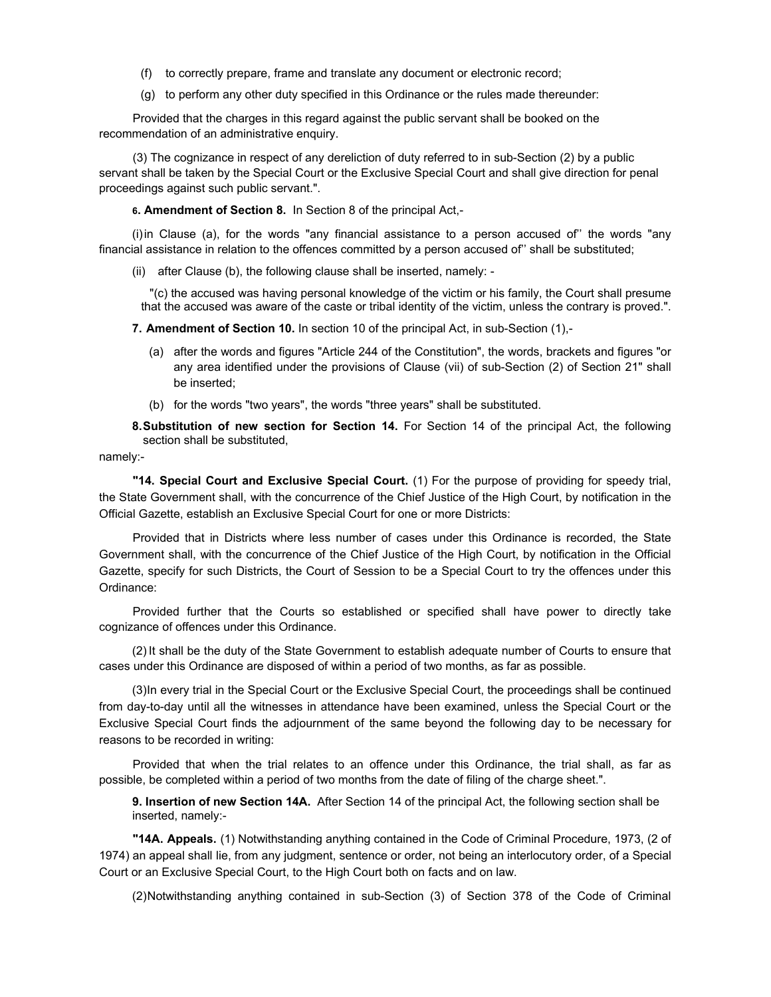- (f) to correctly prepare, frame and translate any document or electronic record;
- (g) to perform any other duty specified in this Ordinance or the rules made thereunder:

Provided that the charges in this regard against the public servant shall be booked on the recommendation of an administrative enquiry.

(3) The cognizance in respect of any dereliction of duty referred to in sub-Section (2) by a public servant shall be taken by the Special Court or the Exclusive Special Court and shall give direction for penal proceedings against such public servant.".

**6. Amendment of Section 8.** In Section 8 of the principal Act,-

(i) in Clause (a), for the words "any financial assistance to a person accused of'' the words "any financial assistance in relation to the offences committed by a person accused of'' shall be substituted;

(ii) after Clause (b), the following clause shall be inserted, namely: -

"(c) the accused was having personal knowledge of the victim or his family, the Court shall presume that the accused was aware of the caste or tribal identity of the victim, unless the contrary is proved.".

#### **7. Amendment of Section 10.** In section 10 of the principal Act, in sub-Section (1),-

- (a) after the words and figures "Article 244 of the Constitution", the words, brackets and figures "or any area identified under the provisions of Clause (vii) of sub-Section (2) of Section 21" shall be inserted;
- (b) for the words "two years", the words "three years" shall be substituted.

### **8. Substitution of new section for Section 14.** For Section 14 of the principal Act, the following section shall be substituted,

namely:-

**"14. Special Court and Exclusive Special Court.** (1) For the purpose of providing for speedy trial, the State Government shall, with the concurrence of the Chief Justice of the High Court, by notification in the Official Gazette, establish an Exclusive Special Court for one or more Districts:

Provided that in Districts where less number of cases under this Ordinance is recorded, the State Government shall, with the concurrence of the Chief Justice of the High Court, by notification in the Official Gazette, specify for such Districts, the Court of Session to be a Special Court to try the offences under this Ordinance:

Provided further that the Courts so established or specified shall have power to directly take cognizance of offences under this Ordinance.

(2) It shall be the duty of the State Government to establish adequate number of Courts to ensure that cases under this Ordinance are disposed of within a period of two months, as far as possible.

(3) In every trial in the Special Court or the Exclusive Special Court, the proceedings shall be continued from day-to-day until all the witnesses in attendance have been examined, unless the Special Court or the Exclusive Special Court finds the adjournment of the same beyond the following day to be necessary for reasons to be recorded in writing:

Provided that when the trial relates to an offence under this Ordinance, the trial shall, as far as possible, be completed within a period of two months from the date of filing of the charge sheet.".

**9. Insertion of new Section 14A.** After Section 14 of the principal Act, the following section shall be inserted, namely:-

**"14A. Appeals.** (1) Notwithstanding anything contained in the Code of Criminal Procedure, 1973, (2 of 1974) an appeal shall lie, from any judgment, sentence or order, not being an interlocutory order, of a Special Court or an Exclusive Special Court, to the High Court both on facts and on law.

(2) Notwithstanding anything contained in sub-Section (3) of Section 378 of the Code of Criminal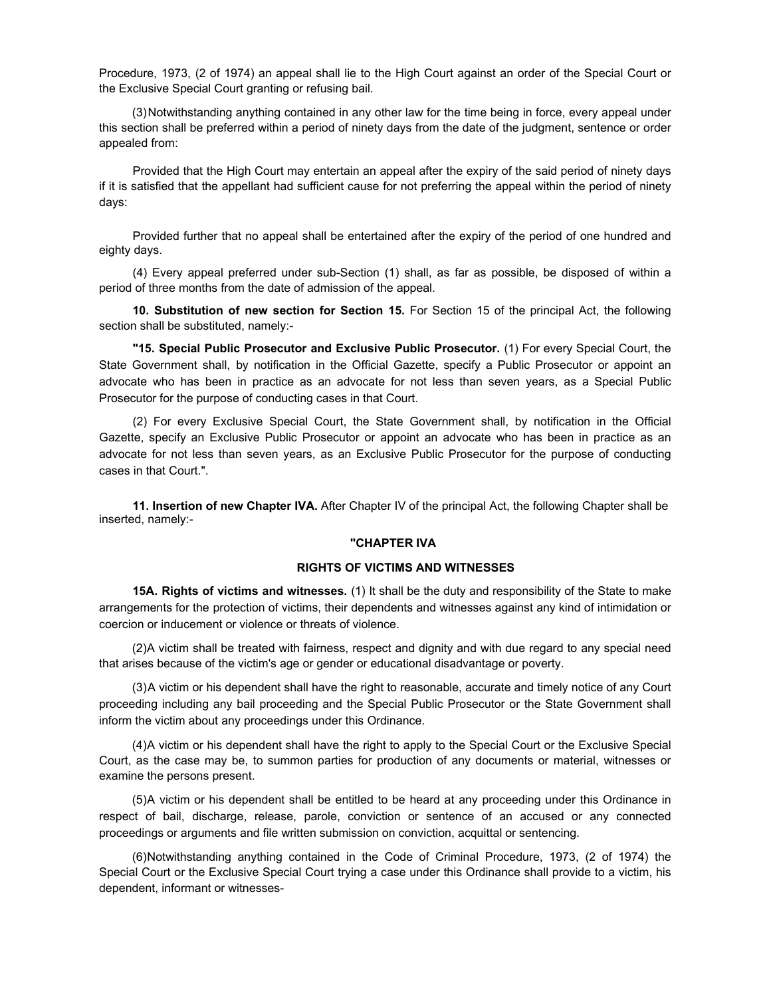Procedure, 1973, (2 of 1974) an appeal shall lie to the High Court against an order of the Special Court or the Exclusive Special Court granting or refusing bail.

(3) Notwithstanding anything contained in any other law for the time being in force, every appeal under this section shall be preferred within a period of ninety days from the date of the judgment, sentence or order appealed from:

Provided that the High Court may entertain an appeal after the expiry of the said period of ninety days if it is satisfied that the appellant had sufficient cause for not preferring the appeal within the period of ninety days:

Provided further that no appeal shall be entertained after the expiry of the period of one hundred and eighty days.

(4) Every appeal preferred under sub-Section (1) shall, as far as possible, be disposed of within a period of three months from the date of admission of the appeal.

**10. Substitution of new section for Section 15.** For Section 15 of the principal Act, the following section shall be substituted, namely:-

**"15. Special Public Prosecutor and Exclusive Public Prosecutor.** (1) For every Special Court, the State Government shall, by notification in the Official Gazette, specify a Public Prosecutor or appoint an advocate who has been in practice as an advocate for not less than seven years, as a Special Public Prosecutor for the purpose of conducting cases in that Court.

(2) For every Exclusive Special Court, the State Government shall, by notification in the Official Gazette, specify an Exclusive Public Prosecutor or appoint an advocate who has been in practice as an advocate for not less than seven years, as an Exclusive Public Prosecutor for the purpose of conducting cases in that Court.".

**11. Insertion of new Chapter IVA.** After Chapter IV of the principal Act, the following Chapter shall be inserted, namely:-

# **"CHAPTER IVA**

#### **RIGHTS OF VICTIMS AND WITNESSES**

**15A. Rights of victims and witnesses.** (1) It shall be the duty and responsibility of the State to make arrangements for the protection of victims, their dependents and witnesses against any kind of intimidation or coercion or inducement or violence or threats of violence.

(2) A victim shall be treated with fairness, respect and dignity and with due regard to any special need that arises because of the victim's age or gender or educational disadvantage or poverty.

(3) A victim or his dependent shall have the right to reasonable, accurate and timely notice of any Court proceeding including any bail proceeding and the Special Public Prosecutor or the State Government shall inform the victim about any proceedings under this Ordinance.

(4) A victim or his dependent shall have the right to apply to the Special Court or the Exclusive Special Court, as the case may be, to summon parties for production of any documents or material, witnesses or examine the persons present.

(5) A victim or his dependent shall be entitled to be heard at any proceeding under this Ordinance in respect of bail, discharge, release, parole, conviction or sentence of an accused or any connected proceedings or arguments and file written submission on conviction, acquittal or sentencing.

(6) Notwithstanding anything contained in the Code of Criminal Procedure, 1973, (2 of 1974) the Special Court or the Exclusive Special Court trying a case under this Ordinance shall provide to a victim, his dependent, informant or witnesses-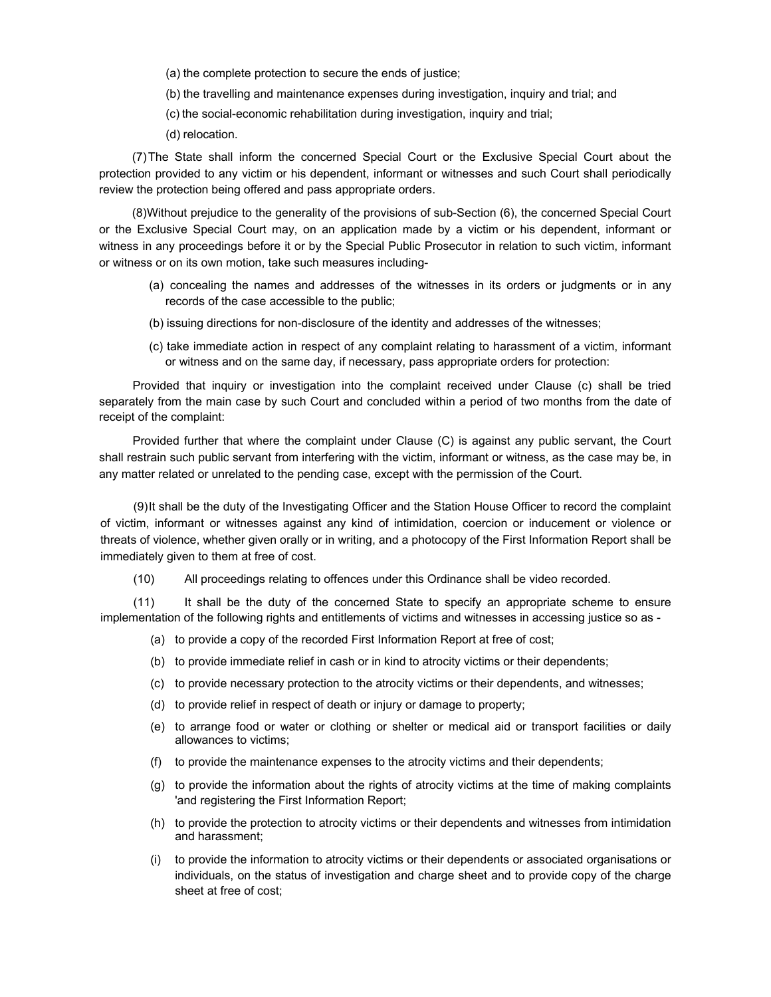- (a) the complete protection to secure the ends of justice;
- (b) the travelling and maintenance expenses during investigation, inquiry and trial; and
- (c) the social-economic rehabilitation during investigation, inquiry and trial;
- (d) relocation.

(7) The State shall inform the concerned Special Court or the Exclusive Special Court about the protection provided to any victim or his dependent, informant or witnesses and such Court shall periodically review the protection being offered and pass appropriate orders.

(8) Without prejudice to the generality of the provisions of sub-Section (6), the concerned Special Court or the Exclusive Special Court may, on an application made by a victim or his dependent, informant or witness in any proceedings before it or by the Special Public Prosecutor in relation to such victim, informant or witness or on its own motion, take such measures including-

- (a) concealing the names and addresses of the witnesses in its orders or judgments or in any records of the case accessible to the public;
- (b) issuing directions for non-disclosure of the identity and addresses of the witnesses;
- (c) take immediate action in respect of any complaint relating to harassment of a victim, informant or witness and on the same day, if necessary, pass appropriate orders for protection:

Provided that inquiry or investigation into the complaint received under Clause (c) shall be tried separately from the main case by such Court and concluded within a period of two months from the date of receipt of the complaint:

Provided further that where the complaint under Clause (C) is against any public servant, the Court shall restrain such public servant from interfering with the victim, informant or witness, as the case may be, in any matter related or unrelated to the pending case, except with the permission of the Court.

(9) It shall be the duty of the Investigating Officer and the Station House Officer to record the complaint of victim, informant or witnesses against any kind of intimidation, coercion or inducement or violence or threats of violence, whether given orally or in writing, and a photocopy of the First Information Report shall be immediately given to them at free of cost.

(10) All proceedings relating to offences under this Ordinance shall be video recorded.

(11) It shall be the duty of the concerned State to specify an appropriate scheme to ensure implementation of the following rights and entitlements of victims and witnesses in accessing justice so as -

- (a) to provide a copy of the recorded First Information Report at free of cost;
- (b) to provide immediate relief in cash or in kind to atrocity victims or their dependents;
- (c) to provide necessary protection to the atrocity victims or their dependents, and witnesses;
- (d) to provide relief in respect of death or injury or damage to property;
- (e) to arrange food or water or clothing or shelter or medical aid or transport facilities or daily allowances to victims;
- (f) to provide the maintenance expenses to the atrocity victims and their dependents;
- (g) to provide the information about the rights of atrocity victims at the time of making complaints 'and registering the First Information Report;
- (h) to provide the protection to atrocity victims or their dependents and witnesses from intimidation and harassment;
- (i) to provide the information to atrocity victims or their dependents or associated organisations or individuals, on the status of investigation and charge sheet and to provide copy of the charge sheet at free of cost;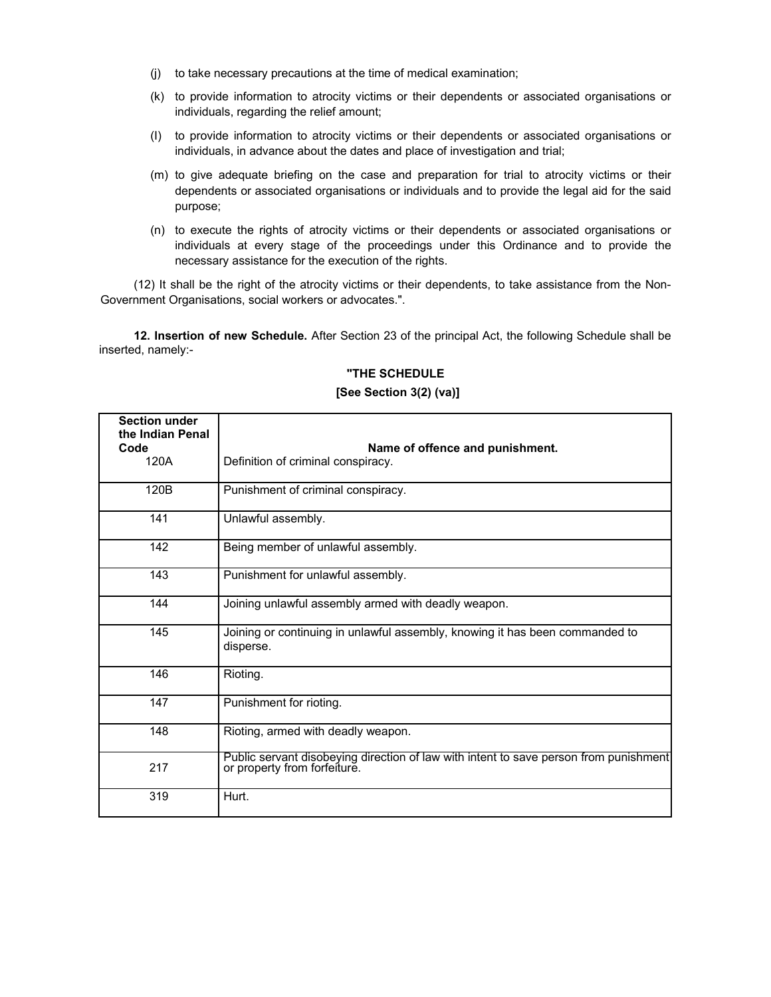- (j) to take necessary precautions at the time of medical examination;
- (k) to provide information to atrocity victims or their dependents or associated organisations or individuals, regarding the relief amount;
- (I) to provide information to atrocity victims or their dependents or associated organisations or individuals, in advance about the dates and place of investigation and trial;
- (m) to give adequate briefing on the case and preparation for trial to atrocity victims or their dependents or associated organisations or individuals and to provide the legal aid for the said purpose;
- (n) to execute the rights of atrocity victims or their dependents or associated organisations or individuals at every stage of the proceedings under this Ordinance and to provide the necessary assistance for the execution of the rights.

(12) It shall be the right of the atrocity victims or their dependents, to take assistance from the Non-Government Organisations, social workers or advocates.".

**12. Insertion of new Schedule.** After Section 23 of the principal Act, the following Schedule shall be inserted, namely:-

| <b>Section under</b><br>the Indian Penal |                                                                                                                       |
|------------------------------------------|-----------------------------------------------------------------------------------------------------------------------|
| Code                                     | Name of offence and punishment.                                                                                       |
| 120A                                     | Definition of criminal conspiracy.                                                                                    |
| 120B                                     | Punishment of criminal conspiracy.                                                                                    |
| 141                                      | Unlawful assembly.                                                                                                    |
| 142                                      | Being member of unlawful assembly.                                                                                    |
| 143                                      | Punishment for unlawful assembly.                                                                                     |
| 144                                      | Joining unlawful assembly armed with deadly weapon.                                                                   |
| 145                                      | Joining or continuing in unlawful assembly, knowing it has been commanded to<br>disperse.                             |
| 146                                      | Rioting.                                                                                                              |
| 147                                      | Punishment for rioting.                                                                                               |
| 148                                      | Rioting, armed with deadly weapon.                                                                                    |
| 217                                      | Public servant disobeying direction of law with intent to save person from punishment<br>or property from forfeiture. |
| 319                                      | Hurt.                                                                                                                 |

# **"THE SCHEDULE**

#### **[See Section 3(2) (va)]**